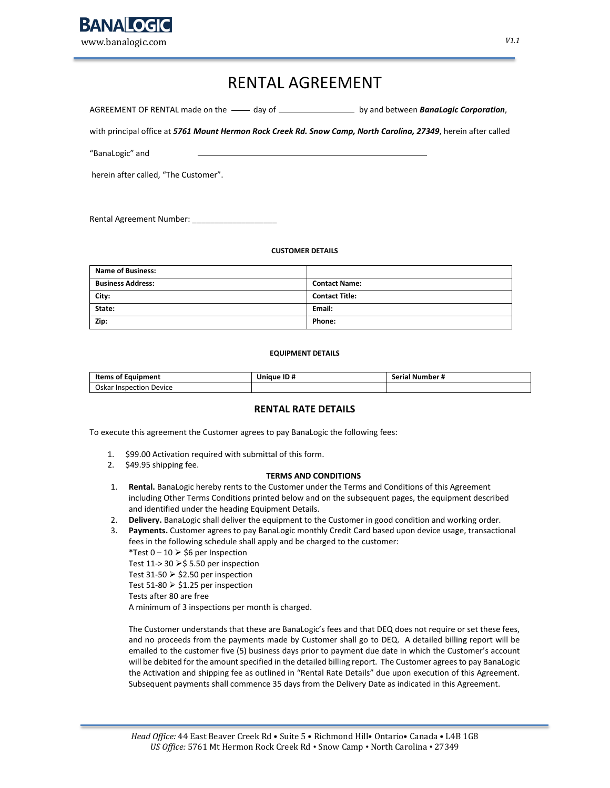

## RENTAL AGREEMENT

AGREEMENT OF RENTAL made on the **----** day of **he are all assumes and between** *BanaLogic Corporation*,

with principal office at *5761 Mount Hermon Rock Creek Rd. Snow Camp, North Carolina, 27349*, herein after called

"BanaLogic" and

herein after called, "The Customer".

Rental Agreement Number:

#### **CUSTOMER DETAILS**

| <b>Name of Business:</b> |                       |
|--------------------------|-----------------------|
| <b>Business Address:</b> | <b>Contact Name:</b>  |
| City:                    | <b>Contact Title:</b> |
| State:                   | Email:                |
| Zip:                     | Phone:                |

#### **EQUIPMENT DETAILS**

| <b>Items of Equipment</b>  | Unique ID# | Number #<br>Serial |  |
|----------------------------|------------|--------------------|--|
| Inspection Device<br>Oskar |            |                    |  |

#### **RENTAL RATE DETAILS**

To execute this agreement the Customer agrees to pay BanaLogic the following fees:

- 1. \$99.00 Activation required with submittal of this form.
- 2. \$49.95 shipping fee.

#### **TERMS AND CONDITIONS**

- 1. **Rental.** BanaLogic hereby rents to the Customer under the Terms and Conditions of this Agreement including Other Terms Conditions printed below and on the subsequent pages, the equipment described and identified under the heading Equipment Details.
- 2. **Delivery.** BanaLogic shall deliver the equipment to the Customer in good condition and working order.
- 3. **Payments.** Customer agrees to pay BanaLogic monthly Credit Card based upon device usage, transactional fees in the following schedule shall apply and be charged to the customer:

\*Test 0 – 10  $\triangleright$  \$6 per Inspection

Test 11-> 30  $\ge$  \$ 5.50 per inspection

Test 31-50  $\triangleright$  \$2.50 per inspection

Test 51-80  $\ge$  \$1.25 per inspection

Tests after 80 are free

A minimum of 3 inspections per month is charged.

The Customer understands that these are BanaLogic's fees and that DEQ does not require or set these fees, and no proceeds from the payments made by Customer shall go to DEQ. A detailed billing report will be emailed to the customer five (5) business days prior to payment due date in which the Customer's account will be debited for the amount specified in the detailed billing report. The Customer agrees to pay BanaLogic the Activation and shipping fee as outlined in "Rental Rate Details" due upon execution of this Agreement. Subsequent payments shall commence 35 days from the Delivery Date as indicated in this Agreement.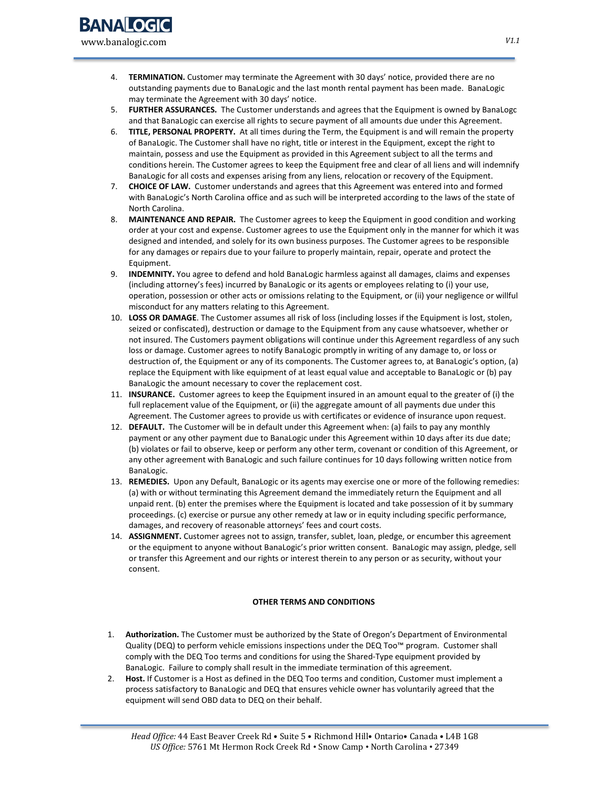- 4. **TERMINATION.** Customer may terminate the Agreement with 30 days' notice, provided there are no outstanding payments due to BanaLogic and the last month rental payment has been made. BanaLogic may terminate the Agreement with 30 days' notice.
- 5. **FURTHER ASSURANCES.** The Customer understands and agrees that the Equipment is owned by BanaLogc and that BanaLogic can exercise all rights to secure payment of all amounts due under this Agreement.
- 6. **TITLE, PERSONAL PROPERTY.** At all times during the Term, the Equipment is and will remain the property of BanaLogic. The Customer shall have no right, title or interest in the Equipment, except the right to maintain, possess and use the Equipment as provided in this Agreement subject to all the terms and conditions herein. The Customer agrees to keep the Equipment free and clear of all liens and will indemnify BanaLogic for all costs and expenses arising from any liens, relocation or recovery of the Equipment.
- 7. **CHOICE OF LAW.** Customer understands and agrees that this Agreement was entered into and formed with BanaLogic's North Carolina office and as such will be interpreted according to the laws of the state of North Carolina.
- 8. **MAINTENANCE AND REPAIR.** The Customer agrees to keep the Equipment in good condition and working order at your cost and expense. Customer agrees to use the Equipment only in the manner for which it was designed and intended, and solely for its own business purposes. The Customer agrees to be responsible for any damages or repairs due to your failure to properly maintain, repair, operate and protect the Equipment.
- 9. **INDEMNITY.** You agree to defend and hold BanaLogic harmless against all damages, claims and expenses (including attorney's fees) incurred by BanaLogic or its agents or employees relating to (i) your use, operation, possession or other acts or omissions relating to the Equipment, or (ii) your negligence or willful misconduct for any matters relating to this Agreement.
- 10. **LOSS OR DAMAGE**. The Customer assumes all risk of loss (including losses if the Equipment is lost, stolen, seized or confiscated), destruction or damage to the Equipment from any cause whatsoever, whether or not insured. The Customers payment obligations will continue under this Agreement regardless of any such loss or damage. Customer agrees to notify BanaLogic promptly in writing of any damage to, or loss or destruction of, the Equipment or any of its components. The Customer agrees to, at BanaLogic's option, (a) replace the Equipment with like equipment of at least equal value and acceptable to BanaLogic or (b) pay BanaLogic the amount necessary to cover the replacement cost.
- 11. **INSURANCE.** Customer agrees to keep the Equipment insured in an amount equal to the greater of (i) the full replacement value of the Equipment, or (ii) the aggregate amount of all payments due under this Agreement. The Customer agrees to provide us with certificates or evidence of insurance upon request.
- 12. **DEFAULT.** The Customer will be in default under this Agreement when: (a) fails to pay any monthly payment or any other payment due to BanaLogic under this Agreement within 10 days after its due date; (b) violates or fail to observe, keep or perform any other term, covenant or condition of this Agreement, or any other agreement with BanaLogic and such failure continues for 10 days following written notice from BanaLogic.
- 13. **REMEDIES.** Upon any Default, BanaLogic or its agents may exercise one or more of the following remedies: (a) with or without terminating this Agreement demand the immediately return the Equipment and all unpaid rent. (b) enter the premises where the Equipment is located and take possession of it by summary proceedings. (c) exercise or pursue any other remedy at law or in equity including specific performance, damages, and recovery of reasonable attorneys' fees and court costs.
- 14. **ASSIGNMENT.** Customer agrees not to assign, transfer, sublet, loan, pledge, or encumber this agreement or the equipment to anyone without BanaLogic's prior written consent. BanaLogic may assign, pledge, sell or transfer this Agreement and our rights or interest therein to any person or as security, without your consent.

### **OTHER TERMS AND CONDITIONS**

- 1. **Authorization.** The Customer must be authorized by the State of Oregon's Department of Environmental Quality (DEQ) to perform vehicle emissions inspections under the DEQ Too™ program. Customer shall comply with the DEQ Too terms and conditions for using the Shared-Type equipment provided by BanaLogic. Failure to comply shall result in the immediate termination of this agreement.
- 2. **Host.** If Customer is a Host as defined in the DEQ Too terms and condition, Customer must implement a process satisfactory to BanaLogic and DEQ that ensures vehicle owner has voluntarily agreed that the equipment will send OBD data to DEQ on their behalf.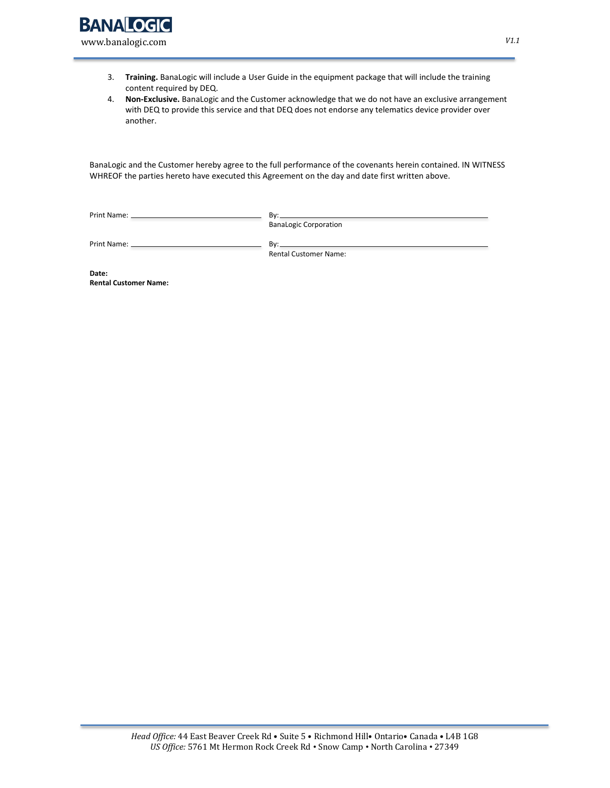

www.banalogic.com

- 3. **Training.** BanaLogic will include a User Guide in the equipment package that will include the training content required by DEQ.
- 4. **Non-Exclusive.** BanaLogic and the Customer acknowledge that we do not have an exclusive arrangement with DEQ to provide this service and that DEQ does not endorse any telematics device provider over another.

BanaLogic and the Customer hereby agree to the full performance of the covenants herein contained. IN WITNESS WHREOF the parties hereto have executed this Agreement on the day and date first written above.

Print Name: By:

BanaLogic Corporation

Print Name: By:

Rental Customer Name:

**Date: Rental Customer Name:**